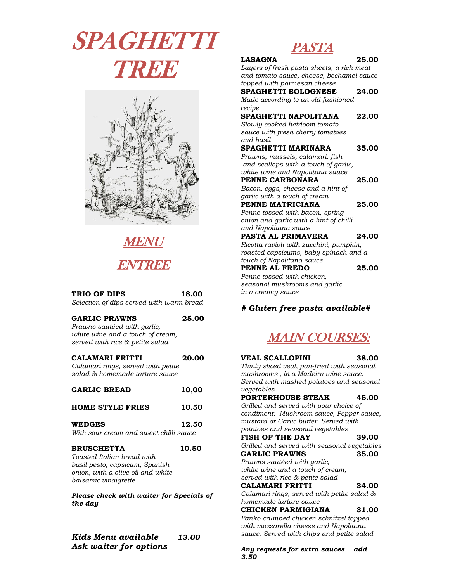SPAGHETTI TREE



MENU **ENTREE** 

| TRIO OF DIPS<br>Selection of dips served with warm bread                                                                                       | 18.00 |
|------------------------------------------------------------------------------------------------------------------------------------------------|-------|
| <b>GARLIC PRAWNS</b><br>Prawns sautéed with garlic,<br>white wine and a touch of cream,<br>served with rice & petite salad                     | 25.00 |
| CALAMARI FRITTI<br>Calamari rings, served with petite<br>salad & homemade tartare sauce                                                        | 20.00 |
| <b>GARLIC BREAD</b>                                                                                                                            | 10,00 |
| <b>HOME STYLE FRIES</b>                                                                                                                        | 10.50 |
| <b>WEDGES</b><br>With sour cream and sweet chilli sauce                                                                                        | 12.50 |
| <b>BRUSCHETTA</b><br>Toasted Italian bread with<br>basil pesto, capsicum, Spanish<br>onion, with a olive oil and white<br>balsamic vinaigrette | 10.50 |
| Please check with waiter for Specials of<br>the day                                                                                            |       |

*Kids Menu available 13.00 Ask waiter for options* 

## **PASTA**

 $\boldsymbol{r}$ 

| 1710 171                                  |       |
|-------------------------------------------|-------|
| <b>LASAGNA</b>                            | 25.00 |
| Layers of fresh pasta sheets, a rich meat |       |
| and tomato sauce, cheese, bechamel sauce  |       |
| topped with parmesan cheese               |       |
| <b>SPAGHETTI BOLOGNESE</b>                | 24.00 |
| Made according to an old fashioned        |       |
| recipe                                    |       |
| SPAGHETTI NAPOLITANA                      | 22.00 |
| Slowly cooked heirloom tomato             |       |
| sauce with fresh cherry tomatoes          |       |
| and basil                                 |       |
| SPAGHETTI MARINARA                        | 35.00 |
| Prawns, mussels, calamari, fish           |       |
| and scallops with a touch of garlic,      |       |
| white wine and Napolitana sauce           |       |
| PENNE CARBONARA                           | 25.00 |
| Bacon, eggs, cheese and a hint of         |       |
| garlic with a touch of cream              |       |
| PENNE MATRICIANA                          | 25.00 |
| Penne tossed with bacon, spring           |       |
| onion and garlic with a hint of chilli    |       |
| and Napolitana sauce                      |       |
| <b>PASTA AL PRIMAVERA</b>                 | 24.00 |
| Ricotta ravioli with zucchini, pumpkin,   |       |
| roasted capsicums, baby spinach and a     |       |
| touch of Napolitana sauce                 |       |
| PENNE AL FREDO                            | 25.00 |
| Penne tossed with chicken,                |       |
| seasonal mushrooms and garlic             |       |
| in a creamy sauce                         |       |
|                                           |       |

### *# Gluten free pasta available#*



**VEAL SCALLOPINI 38.00** *Thinly sliced veal, pan-fried with seasonal mushrooms , in a Madeira wine sauce. Served with mashed potatoes and seasonal vegetables* **PORTERHOUSE STEAK 45.00** *Grilled and served with your choice of condiment: Mushroom sauce, Pepper sauce, mustard or Garlic butter. Served with potatoes and seasonal vegetables*  **FISH OF THE DAY 39.00** *Grilled and served with seasonal vegetables*  GARLIC PRAWNS 35.00 *Prawns sautéed with garlic, white wine and a touch of cream, served with rice & petite salad* **CALAMARI FRITTI 34.00** *Calamari rings, served with petite salad & homemade tartare sauce* **CHICKEN PARMIGIANA 31.00** *Panko crumbed chicken schnitzel topped with mozzarella cheese and Napolitana sauce. Served with chips and petite salad* 

*Any requests for extra sauces add 3.50*